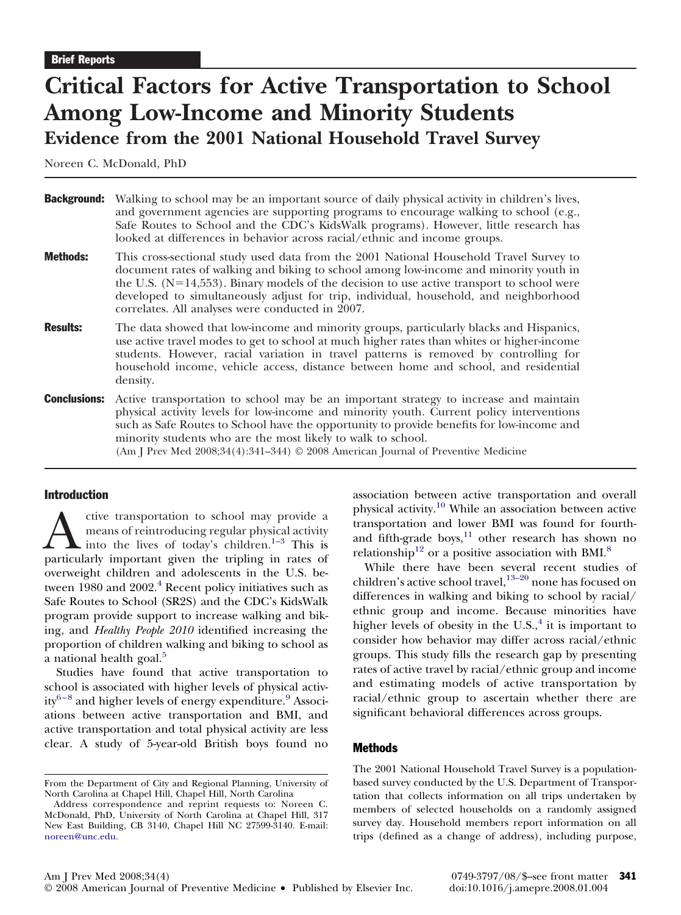# **Critical Factors for Active Transportation to School Among Low-Income and Minority Students Evidence from the 2001 National Household Travel Survey**

Noreen C. McDonald, PhD

| <b>Background:</b> | Walking to school may be an important source of daily physical activity in children's lives,<br>and government agencies are supporting programs to encourage walking to school (e.g.,<br>Safe Routes to School and the CDC's KidsWalk programs). However, little research has<br>looked at differences in behavior across racial/ethnic and income groups.                                                                  |
|--------------------|-----------------------------------------------------------------------------------------------------------------------------------------------------------------------------------------------------------------------------------------------------------------------------------------------------------------------------------------------------------------------------------------------------------------------------|
| <b>Methods:</b>    | This cross-sectional study used data from the 2001 National Household Travel Survey to<br>document rates of walking and biking to school among low-income and minority youth in<br>the U.S. $(N=14,553)$ . Binary models of the decision to use active transport to school were<br>developed to simultaneously adjust for trip, individual, household, and neighborhood<br>correlates. All analyses were conducted in 2007. |
| <b>Results:</b>    | The data showed that low-income and minority groups, particularly blacks and Hispanics,<br>use active travel modes to get to school at much higher rates than whites or higher-income<br>students. However, racial variation in travel patterns is removed by controlling for<br>household income, vehicle access, distance between home and school, and residential<br>density.                                            |
|                    | <b>Conclusions:</b> Active transportation to school may be an important strategy to increase and maintain<br>physical activity levels for low-income and minority youth. Current policy interventions<br>such as Safe Routes to School have the opportunity to provide benefits for low-income and<br>minority students who are the most likely to walk to school.                                                          |

(Am J Prev Med 2008;34(4):341–344) © 2008 American Journal of Preventive Medicine

#### Introduction

The transportation to school may provide a means of reintroducing regular physical activity into the lives of today's children.<sup>1-3</sup> This is particularly important given the tripling in rates of means of reintroducing regular physical activity into the lives of today's children. $1-3$  This is overweight children and adolescents in the U.S. between 1980 and  $2002<sup>4</sup>$  $2002<sup>4</sup>$  $2002<sup>4</sup>$  Recent policy initiatives such as Safe Routes to School (SR2S) and the CDC's KidsWalk program provide support to increase walking and biking, and *Healthy People 2010* identified increasing the proportion of children walking and biking to school as a national health goal.<sup>[5](#page-3-0)</sup>

Studies have found that active transportation to school is associated with higher levels of physical activ $ity^{6-8}$  and higher levels of energy expenditure.<sup>[9](#page-3-0)</sup> Associations between active transportation and BMI, and active transportation and total physical activity are less clear. A study of 5-year-old British boys found no association between active transportation and overall physical activity.[10](#page-3-0) While an association between active transportation and lower BMI was found for fourthand fifth-grade boys, $11$  other research has shown no relationship<sup>[12](#page-3-0)</sup> or a positive association with BMI.<sup>[8](#page-3-0)</sup>

While there have been several recent studies of children's active school travel,<sup>[13–20](#page-3-0)</sup> none has focused on differences in walking and biking to school by racial/ ethnic group and income. Because minorities have higher levels of obesity in the U.S., $<sup>4</sup>$  $<sup>4</sup>$  $<sup>4</sup>$  it is important to</sup> consider how behavior may differ across racial/ethnic groups. This study fills the research gap by presenting rates of active travel by racial/ethnic group and income and estimating models of active transportation by racial/ethnic group to ascertain whether there are significant behavioral differences across groups.

#### **Methods**

The 2001 National Household Travel Survey is a populationbased survey conducted by the U.S. Department of Transportation that collects information on all trips undertaken by members of selected households on a randomly assigned survey day. Household members report information on all trips (defined as a change of address), including purpose,

From the Department of City and Regional Planning, University of North Carolina at Chapel Hill, Chapel Hill, North Carolina

Address correspondence and reprint requests to: Noreen C. McDonald, PhD, University of North Carolina at Chapel Hill, 317 New East Building, CB 3140, Chapel Hill NC 27599-3140. E-mail: [noreen@unc.edu.](mailto:noreen@unc.edu)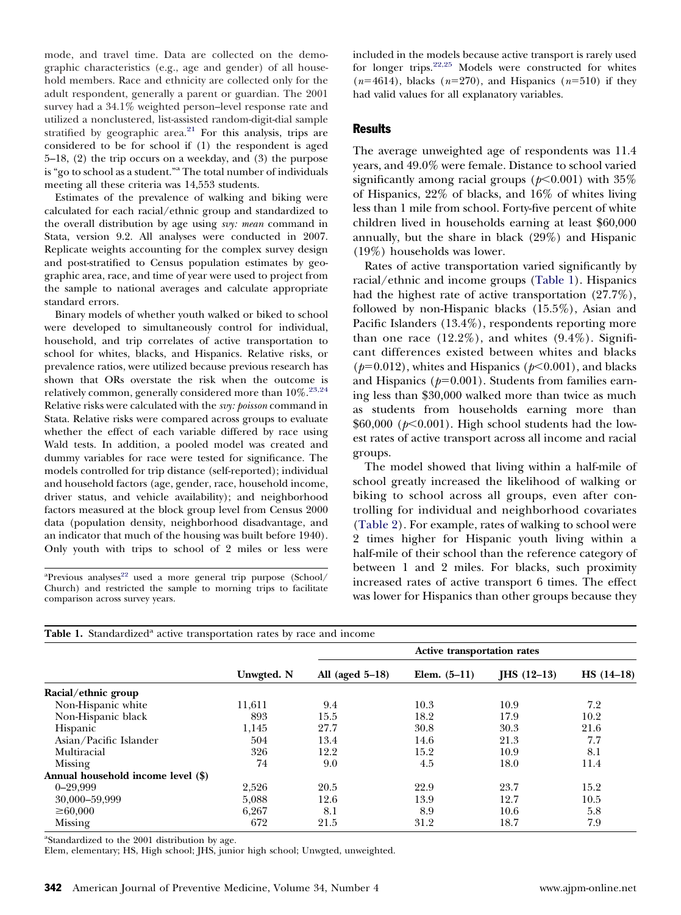mode, and travel time. Data are collected on the demographic characteristics (e.g., age and gender) of all household members. Race and ethnicity are collected only for the adult respondent, generally a parent or guardian. The 2001 survey had a 34.1% weighted person–level response rate and utilized a nonclustered, list-assisted random-digit-dial sample stratified by geographic area. $21$  For this analysis, trips are considered to be for school if (1) the respondent is aged 5–18, (2) the trip occurs on a weekday, and (3) the purpose is "go to school as a student."a The total number of individuals meeting all these criteria was 14,553 students.

Estimates of the prevalence of walking and biking were calculated for each racial/ethnic group and standardized to the overall distribution by age using *svy: mean* command in Stata, version 9.2. All analyses were conducted in 2007. Replicate weights accounting for the complex survey design and post-stratified to Census population estimates by geographic area, race, and time of year were used to project from the sample to national averages and calculate appropriate standard errors.

Binary models of whether youth walked or biked to school were developed to simultaneously control for individual, household, and trip correlates of active transportation to school for whites, blacks, and Hispanics. Relative risks, or prevalence ratios, were utilized because previous research has shown that ORs overstate the risk when the outcome is relatively common, generally considered more than  $10\%.^{23,24}$ Relative risks were calculated with the *svy: poisson* command in Stata. Relative risks were compared across groups to evaluate whether the effect of each variable differed by race using Wald tests. In addition, a pooled model was created and dummy variables for race were tested for significance. The models controlled for trip distance (self-reported); individual and household factors (age, gender, race, household income, driver status, and vehicle availability); and neighborhood factors measured at the block group level from Census 2000 data (population density, neighborhood disadvantage, and an indicator that much of the housing was built before 1940). Only youth with trips to school of 2 miles or less were

<sup>a</sup>Previous analyses<sup>22</sup> used a more general trip purpose (School/ Church) and restricted the sample to morning trips to facilitate comparison across survey years.

included in the models because active transport is rarely used for longer trips[.22,25](#page-3-0) Models were constructed for whites  $(n=4614)$ , blacks  $(n=270)$ , and Hispanics  $(n=510)$  if they had valid values for all explanatory variables.

# **Results**

The average unweighted age of respondents was 11.4 years, and 49.0% were female. Distance to school varied significantly among racial groups ( $p$ <0.001) with 35% of Hispanics, 22% of blacks, and 16% of whites living less than 1 mile from school. Forty-five percent of white children lived in households earning at least \$60,000 annually, but the share in black (29%) and Hispanic (19%) households was lower.

Rates of active transportation varied significantly by racial/ethnic and income groups (Table 1). Hispanics had the highest rate of active transportation (27.7%), followed by non-Hispanic blacks (15.5%), Asian and Pacific Islanders (13.4%), respondents reporting more than one race  $(12.2\%)$ , and whites  $(9.4\%)$ . Significant differences existed between whites and blacks ( $p=0.012$ ), whites and Hispanics ( $p<0.001$ ), and blacks and Hispanics  $(p=0.001)$ . Students from families earning less than \$30,000 walked more than twice as much as students from households earning more than \$60,000 (*p*-0.001). High school students had the lowest rates of active transport across all income and racial groups.

The model showed that living within a half-mile of school greatly increased the likelihood of walking or biking to school across all groups, even after controlling for individual and neighborhood covariates [\(Table 2\)](#page-2-0). For example, rates of walking to school were 2 times higher for Hispanic youth living within a half-mile of their school than the reference category of between 1 and 2 miles. For blacks, such proximity increased rates of active transport 6 times. The effect was lower for Hispanics than other groups because they

| <b>Table 1.</b> Standardized <sup>a</sup> active transportation rates by race and income |            |                                    |                |               |              |  |  |  |
|------------------------------------------------------------------------------------------|------------|------------------------------------|----------------|---------------|--------------|--|--|--|
|                                                                                          | Unwgted. N | <b>Active transportation rates</b> |                |               |              |  |  |  |
|                                                                                          |            | All (aged $5-18$ )                 | Elem. $(5-11)$ | $IHS (12-13)$ | $HS (14-18)$ |  |  |  |
| Racial/ethnic group                                                                      |            |                                    |                |               |              |  |  |  |
| Non-Hispanic white                                                                       | 11,611     | 9.4                                | 10.3           | 10.9          | 7.2          |  |  |  |
| Non-Hispanic black                                                                       | 893        | 15.5                               | 18.2           | 17.9          | 10.2         |  |  |  |
| <b>Hispanic</b>                                                                          | 1,145      | 27.7                               | 30.8           | 30.3          | 21.6         |  |  |  |
| Asian/Pacific Islander                                                                   | 504        | 13.4                               | 14.6           | 21.3          | 7.7          |  |  |  |
| Multiracial                                                                              | 326        | 12.2                               | 15.2           | 10.9          | 8.1          |  |  |  |
| Missing                                                                                  | 74         | 9.0                                | 4.5            | 18.0          | 11.4         |  |  |  |
| Annual household income level (\$)                                                       |            |                                    |                |               |              |  |  |  |
| $0 - 29,999$                                                                             | 2,526      | 20.5                               | 22.9           | 23.7          | 15.2         |  |  |  |
| 30,000-59,999                                                                            | 5,088      | 12.6                               | 13.9           | 12.7          | 10.5         |  |  |  |
| $\geq 60,000$                                                                            | 6,267      | 8.1                                | 8.9            | 10.6          | 5.8          |  |  |  |
| Missing                                                                                  | 672        | 21.5                               | 31.2           | 18.7          | 7.9          |  |  |  |

<sup>a</sup>Standardized to the 2001 distribution by age.

Elem, elementary; HS, High school; JHS, junior high school; Unwgted, unweighted.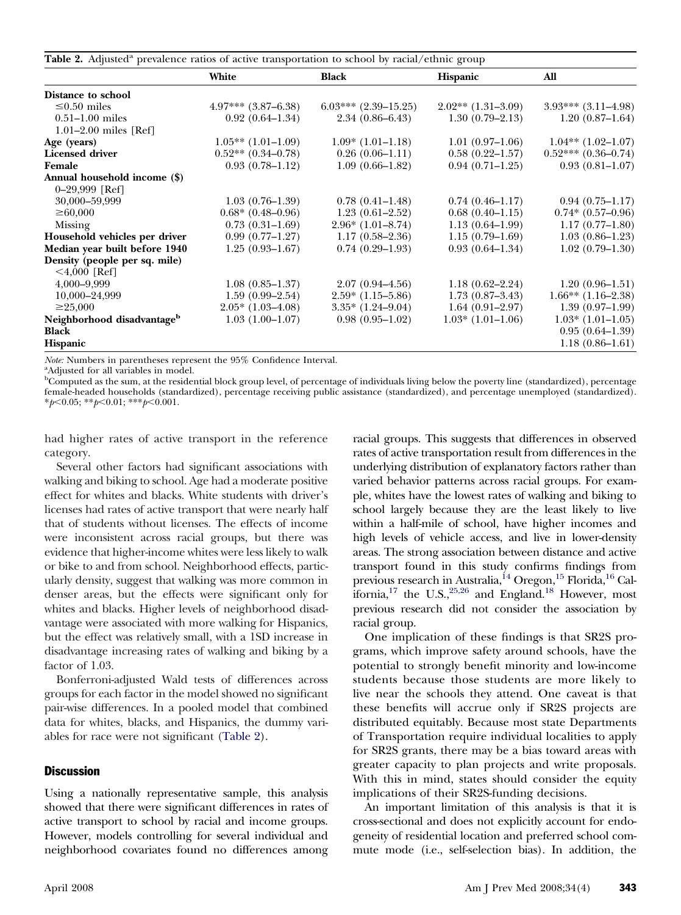<span id="page-2-0"></span>

| Table 2. Adjusted <sup>a</sup> prevalence ratios of active transportation to school by racial/ethnic group |                         |                          |                      |                         |  |  |  |
|------------------------------------------------------------------------------------------------------------|-------------------------|--------------------------|----------------------|-------------------------|--|--|--|
|                                                                                                            | White                   | <b>Black</b>             | Hispanic             | All                     |  |  |  |
| Distance to school                                                                                         |                         |                          |                      |                         |  |  |  |
| $\leq 0.50$ miles                                                                                          | $4.97***$ $(3.87-6.38)$ | $6.03***$ $(2.39-15.25)$ | $2.02**$ (1.31-3.09) | $3.93***$ $(3.11-4.98)$ |  |  |  |
| $0.51 - 1.00$ miles                                                                                        | $0.92(0.64-1.34)$       | $2.34(0.86 - 6.43)$      | $1.30(0.79-2.13)$    | $1.20(0.87-1.64)$       |  |  |  |
| 1.01 $-2.00$ miles [Ref]                                                                                   |                         |                          |                      |                         |  |  |  |
| Age (years)                                                                                                | $1.05**$ (1.01-1.09)    | $1.09*$ (1.01–1.18)      | $1.01(0.97-1.06)$    | $1.04**$ (1.02-1.07)    |  |  |  |
| <b>Licensed driver</b>                                                                                     | $0.52**$ $(0.34-0.78)$  | $0.26(0.06-1.11)$        | $0.58(0.22 - 1.57)$  | $0.52***(0.36-0.74)$    |  |  |  |
| Female                                                                                                     | $0.93(0.78 - 1.12)$     | $1.09(0.66 - 1.82)$      | $0.94(0.71 - 1.25)$  | $0.93(0.81 - 1.07)$     |  |  |  |
| Annual household income (\$)                                                                               |                         |                          |                      |                         |  |  |  |
| $0 - 29,999$ [Ref]                                                                                         |                         |                          |                      |                         |  |  |  |
| 30,000-59,999                                                                                              | $1.03(0.76-1.39)$       | $0.78(0.41 - 1.48)$      | $0.74(0.46 - 1.17)$  | $0.94(0.75 - 1.17)$     |  |  |  |
| $\geq 60,000$                                                                                              | $0.68*(0.48-0.96)$      | $1.23(0.61-2.52)$        | $0.68(0.40-1.15)$    | $0.74*(0.57-0.96)$      |  |  |  |
| Missing                                                                                                    | $0.73(0.31-1.69)$       | $2.96*(1.01-8.74)$       | $1.13(0.64 - 1.99)$  | $1.17(0.77-1.80)$       |  |  |  |
| Household vehicles per driver                                                                              | $0.99(0.77-1.27)$       | $1.17(0.58 - 2.36)$      | $1.15(0.79-1.69)$    | $1.03(0.86 - 1.23)$     |  |  |  |
| Median year built before 1940                                                                              | $1.25(0.93 - 1.67)$     | $0.74(0.29-1.93)$        | $0.93(0.64 - 1.34)$  | $1.02(0.79 - 1.30)$     |  |  |  |
| Density (people per sq. mile)                                                                              |                         |                          |                      |                         |  |  |  |
| $<$ 4,000 [Ref]                                                                                            |                         |                          |                      |                         |  |  |  |
| 4,000-9,999                                                                                                | $1.08(0.85 - 1.37)$     | $2.07(0.94 - 4.56)$      | $1.18(0.62 - 2.24)$  | $1.20(0.96-1.51)$       |  |  |  |
| 10,000-24,999                                                                                              | $1.59(0.99 - 2.54)$     | $2.59*(1.15-5.86)$       | $1.73(0.87 - 3.43)$  | $1.66**$ (1.16–2.38)    |  |  |  |
| $\geq 25,000$                                                                                              | $2.05*$ $(1.03-4.08)$   | $3.35*$ $(1.24-9.04)$    | $1.64(0.91-2.97)$    | $1.39(0.97-1.99)$       |  |  |  |
| Neighborhood disadvantage <sup>b</sup>                                                                     | $1.03(1.00-1.07)$       | $0.98(0.95-1.02)$        | $1.03*$ (1.01–1.06)  | $1.03*$ (1.01–1.05)     |  |  |  |
| Black                                                                                                      |                         |                          |                      | $0.95(0.64-1.39)$       |  |  |  |
| <b>Hispanic</b>                                                                                            |                         |                          |                      | $1.18(0.86 - 1.61)$     |  |  |  |

*Note:* Numbers in parentheses represent the 95% Confidence Interval.

Adjusted for all variables in model.

<sup>b</sup>Computed as the sum, at the residential block group level, of percentage of individuals living below the poverty line (standardized), percentage female-headed households (standardized), percentage receiving public assistance (standardized), and percentage unemployed (standardized). \**p*-0.05; \*\**p*-0.01; \*\*\**p*-0.001.

had higher rates of active transport in the reference category.

Several other factors had significant associations with walking and biking to school. Age had a moderate positive effect for whites and blacks. White students with driver's licenses had rates of active transport that were nearly half that of students without licenses. The effects of income were inconsistent across racial groups, but there was evidence that higher-income whites were less likely to walk or bike to and from school. Neighborhood effects, particularly density, suggest that walking was more common in denser areas, but the effects were significant only for whites and blacks. Higher levels of neighborhood disadvantage were associated with more walking for Hispanics, but the effect was relatively small, with a 1SD increase in disadvantage increasing rates of walking and biking by a factor of 1.03.

Bonferroni-adjusted Wald tests of differences across groups for each factor in the model showed no significant pair-wise differences. In a pooled model that combined data for whites, blacks, and Hispanics, the dummy variables for race were not significant (Table 2).

## **Discussion**

Using a nationally representative sample, this analysis showed that there were significant differences in rates of active transport to school by racial and income groups. However, models controlling for several individual and neighborhood covariates found no differences among racial groups. This suggests that differences in observed rates of active transportation result from differences in the underlying distribution of explanatory factors rather than varied behavior patterns across racial groups. For example, whites have the lowest rates of walking and biking to school largely because they are the least likely to live within a half-mile of school, have higher incomes and high levels of vehicle access, and live in lower-density areas. The strong association between distance and active transport found in this study confirms findings from previous research in Australia,<sup>14</sup> Oregon,<sup>15</sup> Florida,<sup>16</sup> California,<sup>17</sup> the U.S.,<sup>25,26</sup> and England.<sup>18</sup> However, most previous research did not consider the association by racial group.

One implication of these findings is that SR2S programs, which improve safety around schools, have the potential to strongly benefit minority and low-income students because those students are more likely to live near the schools they attend. One caveat is that these benefits will accrue only if SR2S projects are distributed equitably. Because most state Departments of Transportation require individual localities to apply for SR2S grants, there may be a bias toward areas with greater capacity to plan projects and write proposals. With this in mind, states should consider the equity implications of their SR2S-funding decisions.

An important limitation of this analysis is that it is cross-sectional and does not explicitly account for endogeneity of residential location and preferred school commute mode (i.e., self-selection bias). In addition, the